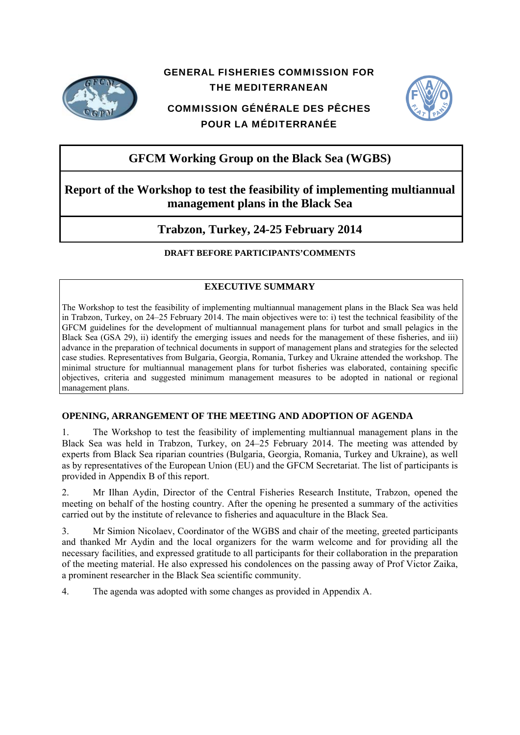

# GENERAL FISHERIES COMMISSION FOR THE MEDITERRANEAN

# COMMISSION GÉNÉRALE DES PÊCHES POUR LA MÉDITERRANÉE



# **GFCM Working Group on the Black Sea (WGBS)**

# **Report of the Workshop to test the feasibility of implementing multiannual management plans in the Black Sea**

# **Trabzon, Turkey, 24-25 February 2014**

# **DRAFT BEFORE PARTICIPANTS'COMMENTS**

# **EXECUTIVE SUMMARY**

The Workshop to test the feasibility of implementing multiannual management plans in the Black Sea was held in Trabzon, Turkey, on 24–25 February 2014. The main objectives were to: i) test the technical feasibility of the GFCM guidelines for the development of multiannual management plans for turbot and small pelagics in the Black Sea (GSA 29), ii) identify the emerging issues and needs for the management of these fisheries, and iii) advance in the preparation of technical documents in support of management plans and strategies for the selected case studies. Representatives from Bulgaria, Georgia, Romania, Turkey and Ukraine attended the workshop. The minimal structure for multiannual management plans for turbot fisheries was elaborated, containing specific objectives, criteria and suggested minimum management measures to be adopted in national or regional management plans.

# **OPENING, ARRANGEMENT OF THE MEETING AND ADOPTION OF AGENDA**

1. The Workshop to test the feasibility of implementing multiannual management plans in the Black Sea was held in Trabzon, Turkey, on 24–25 February 2014. The meeting was attended by experts from Black Sea riparian countries (Bulgaria, Georgia, Romania, Turkey and Ukraine), as well as by representatives of the European Union (EU) and the GFCM Secretariat. The list of participants is provided in Appendix B of this report.

2. Mr Ilhan Aydin, Director of the Central Fisheries Research Institute, Trabzon, opened the meeting on behalf of the hosting country. After the opening he presented a summary of the activities carried out by the institute of relevance to fisheries and aquaculture in the Black Sea.

3. Mr Simion Nicolaev, Coordinator of the WGBS and chair of the meeting, greeted participants and thanked Mr Aydin and the local organizers for the warm welcome and for providing all the necessary facilities, and expressed gratitude to all participants for their collaboration in the preparation of the meeting material. He also expressed his condolences on the passing away of Prof Victor Zaika, a prominent researcher in the Black Sea scientific community.

4. The agenda was adopted with some changes as provided in Appendix A.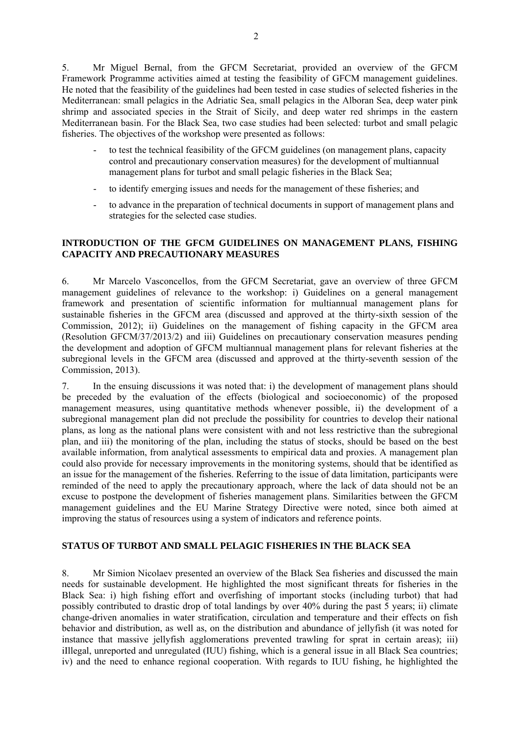5. Mr Miguel Bernal, from the GFCM Secretariat, provided an overview of the GFCM Framework Programme activities aimed at testing the feasibility of GFCM management guidelines. He noted that the feasibility of the guidelines had been tested in case studies of selected fisheries in the Mediterranean: small pelagics in the Adriatic Sea, small pelagics in the Alboran Sea, deep water pink shrimp and associated species in the Strait of Sicily, and deep water red shrimps in the eastern Mediterranean basin. For the Black Sea, two case studies had been selected: turbot and small pelagic fisheries. The objectives of the workshop were presented as follows:

- to test the technical feasibility of the GFCM guidelines (on management plans, capacity control and precautionary conservation measures) for the development of multiannual management plans for turbot and small pelagic fisheries in the Black Sea;
- to identify emerging issues and needs for the management of these fisheries; and
- to advance in the preparation of technical documents in support of management plans and strategies for the selected case studies.

# **INTRODUCTION OF THE GFCM GUIDELINES ON MANAGEMENT PLANS, FISHING CAPACITY AND PRECAUTIONARY MEASURES**

6. Mr Marcelo Vasconcellos, from the GFCM Secretariat, gave an overview of three GFCM management guidelines of relevance to the workshop: i) Guidelines on a general management framework and presentation of scientific information for multiannual management plans for sustainable fisheries in the GFCM area (discussed and approved at the thirty-sixth session of the Commission, 2012); ii) Guidelines on the management of fishing capacity in the GFCM area (Resolution GFCM/37/2013/2) and iii) Guidelines on precautionary conservation measures pending the development and adoption of GFCM multiannual management plans for relevant fisheries at the subregional levels in the GFCM area (discussed and approved at the thirty-seventh session of the Commission, 2013).

7. In the ensuing discussions it was noted that: i) the development of management plans should be preceded by the evaluation of the effects (biological and socioeconomic) of the proposed management measures, using quantitative methods whenever possible, ii) the development of a subregional management plan did not preclude the possibility for countries to develop their national plans, as long as the national plans were consistent with and not less restrictive than the subregional plan, and iii) the monitoring of the plan, including the status of stocks, should be based on the best available information, from analytical assessments to empirical data and proxies. A management plan could also provide for necessary improvements in the monitoring systems, should that be identified as an issue for the management of the fisheries. Referring to the issue of data limitation, participants were reminded of the need to apply the precautionary approach, where the lack of data should not be an excuse to postpone the development of fisheries management plans. Similarities between the GFCM management guidelines and the EU Marine Strategy Directive were noted, since both aimed at improving the status of resources using a system of indicators and reference points.

# **STATUS OF TURBOT AND SMALL PELAGIC FISHERIES IN THE BLACK SEA**

8. Mr Simion Nicolaev presented an overview of the Black Sea fisheries and discussed the main needs for sustainable development. He highlighted the most significant threats for fisheries in the Black Sea: i) high fishing effort and overfishing of important stocks (including turbot) that had possibly contributed to drastic drop of total landings by over 40% during the past 5 years; ii) climate change-driven anomalies in water stratification, circulation and temperature and their effects on fish behavior and distribution, as well as, on the distribution and abundance of jellyfish (it was noted for instance that massive jellyfish agglomerations prevented trawling for sprat in certain areas); iii) iIllegal, unreported and unregulated (IUU) fishing, which is a general issue in all Black Sea countries; iv) and the need to enhance regional cooperation. With regards to IUU fishing, he highlighted the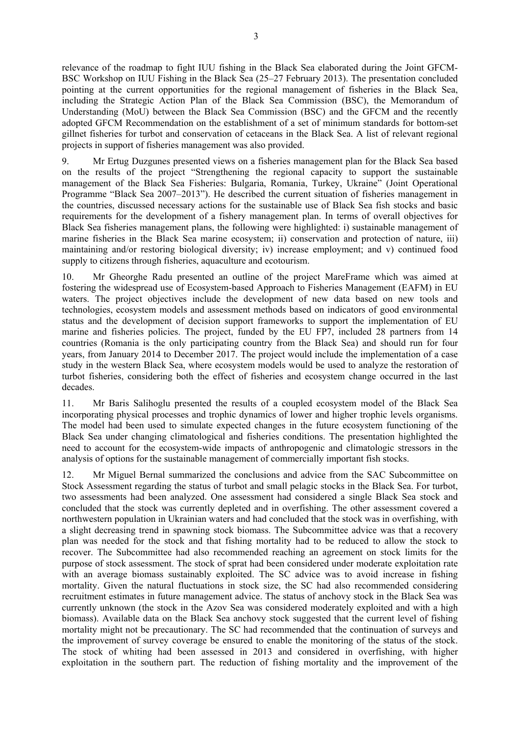relevance of the roadmap to fight IUU fishing in the Black Sea elaborated during the Joint GFCM-BSC Workshop on IUU Fishing in the Black Sea (25–27 February 2013). The presentation concluded pointing at the current opportunities for the regional management of fisheries in the Black Sea, including the Strategic Action Plan of the Black Sea Commission (BSC), the Memorandum of Understanding (MoU) between the Black Sea Commission (BSC) and the GFCM and the recently adopted GFCM Recommendation on the establishment of a set of minimum standards for bottom-set gillnet fisheries for turbot and conservation of cetaceans in the Black Sea. A list of relevant regional projects in support of fisheries management was also provided.

9. Mr Ertug Duzgunes presented views on a fisheries management plan for the Black Sea based on the results of the project "Strengthening the regional capacity to support the sustainable management of the Black Sea Fisheries: Bulgaria, Romania, Turkey, Ukraine" (Joint Operational Programme "Black Sea 2007–2013"). He described the current situation of fisheries management in the countries, discussed necessary actions for the sustainable use of Black Sea fish stocks and basic requirements for the development of a fishery management plan. In terms of overall objectives for Black Sea fisheries management plans, the following were highlighted: i) sustainable management of marine fisheries in the Black Sea marine ecosystem; ii) conservation and protection of nature, iii) maintaining and/or restoring biological diversity; iv) increase employment; and v) continued food supply to citizens through fisheries, aquaculture and ecotourism.

10. Mr Gheorghe Radu presented an outline of the project MareFrame which was aimed at fostering the widespread use of Ecosystem-based Approach to Fisheries Management (EAFM) in EU waters. The project objectives include the development of new data based on new tools and technologies, ecosystem models and assessment methods based on indicators of good environmental status and the development of decision support frameworks to support the implementation of EU marine and fisheries policies. The project, funded by the EU FP7, included 28 partners from 14 countries (Romania is the only participating country from the Black Sea) and should run for four years, from January 2014 to December 2017. The project would include the implementation of a case study in the western Black Sea, where ecosystem models would be used to analyze the restoration of turbot fisheries, considering both the effect of fisheries and ecosystem change occurred in the last decades.

11. Mr Baris Salihoglu presented the results of a coupled ecosystem model of the Black Sea incorporating physical processes and trophic dynamics of lower and higher trophic levels organisms. The model had been used to simulate expected changes in the future ecosystem functioning of the Black Sea under changing climatological and fisheries conditions. The presentation highlighted the need to account for the ecosystem-wide impacts of anthropogenic and climatologic stressors in the analysis of options for the sustainable management of commercially important fish stocks.

12. Mr Miguel Bernal summarized the conclusions and advice from the SAC Subcommittee on Stock Assessment regarding the status of turbot and small pelagic stocks in the Black Sea. For turbot, two assessments had been analyzed. One assessment had considered a single Black Sea stock and concluded that the stock was currently depleted and in overfishing. The other assessment covered a northwestern population in Ukrainian waters and had concluded that the stock was in overfishing, with a slight decreasing trend in spawning stock biomass. The Subcommittee advice was that a recovery plan was needed for the stock and that fishing mortality had to be reduced to allow the stock to recover. The Subcommittee had also recommended reaching an agreement on stock limits for the purpose of stock assessment. The stock of sprat had been considered under moderate exploitation rate with an average biomass sustainably exploited. The SC advice was to avoid increase in fishing mortality. Given the natural fluctuations in stock size, the SC had also recommended considering recruitment estimates in future management advice. The status of anchovy stock in the Black Sea was currently unknown (the stock in the Azov Sea was considered moderately exploited and with a high biomass). Available data on the Black Sea anchovy stock suggested that the current level of fishing mortality might not be precautionary. The SC had recommended that the continuation of surveys and the improvement of survey coverage be ensured to enable the monitoring of the status of the stock. The stock of whiting had been assessed in 2013 and considered in overfishing, with higher exploitation in the southern part. The reduction of fishing mortality and the improvement of the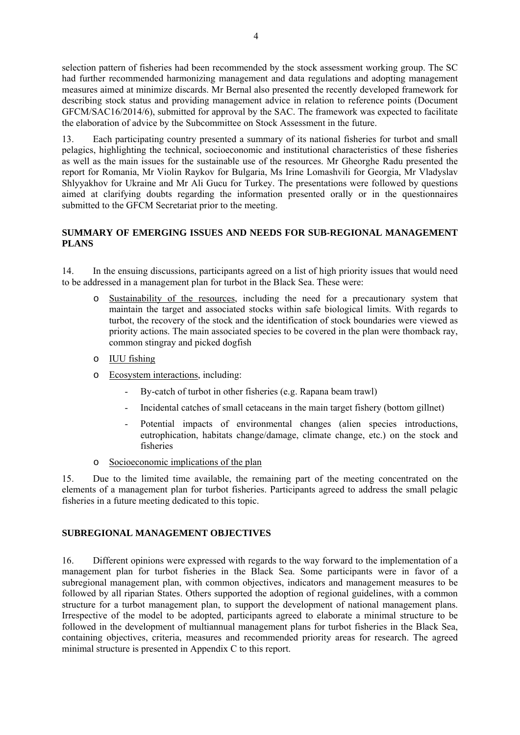selection pattern of fisheries had been recommended by the stock assessment working group. The SC had further recommended harmonizing management and data regulations and adopting management measures aimed at minimize discards. Mr Bernal also presented the recently developed framework for describing stock status and providing management advice in relation to reference points (Document GFCM/SAC16/2014/6), submitted for approval by the SAC. The framework was expected to facilitate the elaboration of advice by the Subcommittee on Stock Assessment in the future.

13. Each participating country presented a summary of its national fisheries for turbot and small pelagics, highlighting the technical, socioeconomic and institutional characteristics of these fisheries as well as the main issues for the sustainable use of the resources. Mr Gheorghe Radu presented the report for Romania, Mr Violin Raykov for Bulgaria, Ms Irine Lomashvili for Georgia, Mr Vladyslav Shlyyakhov for Ukraine and Mr Ali Gucu for Turkey. The presentations were followed by questions aimed at clarifying doubts regarding the information presented orally or in the questionnaires submitted to the GFCM Secretariat prior to the meeting.

# **SUMMARY OF EMERGING ISSUES AND NEEDS FOR SUB-REGIONAL MANAGEMENT PLANS**

14. In the ensuing discussions, participants agreed on a list of high priority issues that would need to be addressed in a management plan for turbot in the Black Sea. These were:

- o Sustainability of the resources, including the need for a precautionary system that maintain the target and associated stocks within safe biological limits. With regards to turbot, the recovery of the stock and the identification of stock boundaries were viewed as priority actions. The main associated species to be covered in the plan were thomback ray, common stingray and picked dogfish
- o IUU fishing
- o Ecosystem interactions, including:
	- By-catch of turbot in other fisheries (e.g. Rapana beam trawl)
	- Incidental catches of small cetaceans in the main target fishery (bottom gillnet)
	- Potential impacts of environmental changes (alien species introductions, eutrophication, habitats change/damage, climate change, etc.) on the stock and fisheries
- o Socioeconomic implications of the plan

15. Due to the limited time available, the remaining part of the meeting concentrated on the elements of a management plan for turbot fisheries. Participants agreed to address the small pelagic fisheries in a future meeting dedicated to this topic.

## **SUBREGIONAL MANAGEMENT OBJECTIVES**

16. Different opinions were expressed with regards to the way forward to the implementation of a management plan for turbot fisheries in the Black Sea. Some participants were in favor of a subregional management plan, with common objectives, indicators and management measures to be followed by all riparian States. Others supported the adoption of regional guidelines, with a common structure for a turbot management plan, to support the development of national management plans. Irrespective of the model to be adopted, participants agreed to elaborate a minimal structure to be followed in the development of multiannual management plans for turbot fisheries in the Black Sea, containing objectives, criteria, measures and recommended priority areas for research. The agreed minimal structure is presented in Appendix C to this report.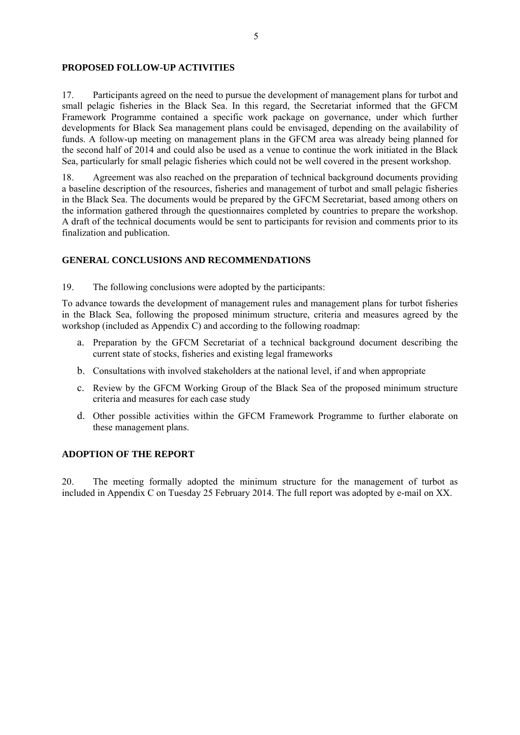### **PROPOSED FOLLOW-UP ACTIVITIES**

17. Participants agreed on the need to pursue the development of management plans for turbot and small pelagic fisheries in the Black Sea. In this regard, the Secretariat informed that the GFCM Framework Programme contained a specific work package on governance, under which further developments for Black Sea management plans could be envisaged, depending on the availability of funds. A follow-up meeting on management plans in the GFCM area was already being planned for the second half of 2014 and could also be used as a venue to continue the work initiated in the Black Sea, particularly for small pelagic fisheries which could not be well covered in the present workshop.

18. Agreement was also reached on the preparation of technical background documents providing a baseline description of the resources, fisheries and management of turbot and small pelagic fisheries in the Black Sea. The documents would be prepared by the GFCM Secretariat, based among others on the information gathered through the questionnaires completed by countries to prepare the workshop. A draft of the technical documents would be sent to participants for revision and comments prior to its finalization and publication.

## **GENERAL CONCLUSIONS AND RECOMMENDATIONS**

19. The following conclusions were adopted by the participants:

To advance towards the development of management rules and management plans for turbot fisheries in the Black Sea, following the proposed minimum structure, criteria and measures agreed by the workshop (included as Appendix  $\hat{C}$ ) and according to the following roadmap:

- a. Preparation by the GFCM Secretariat of a technical background document describing the current state of stocks, fisheries and existing legal frameworks
- b. Consultations with involved stakeholders at the national level, if and when appropriate
- c. Review by the GFCM Working Group of the Black Sea of the proposed minimum structure criteria and measures for each case study
- d. Other possible activities within the GFCM Framework Programme to further elaborate on these management plans.

# **ADOPTION OF THE REPORT**

20. The meeting formally adopted the minimum structure for the management of turbot as included in Appendix C on Tuesday 25 February 2014. The full report was adopted by e-mail on XX.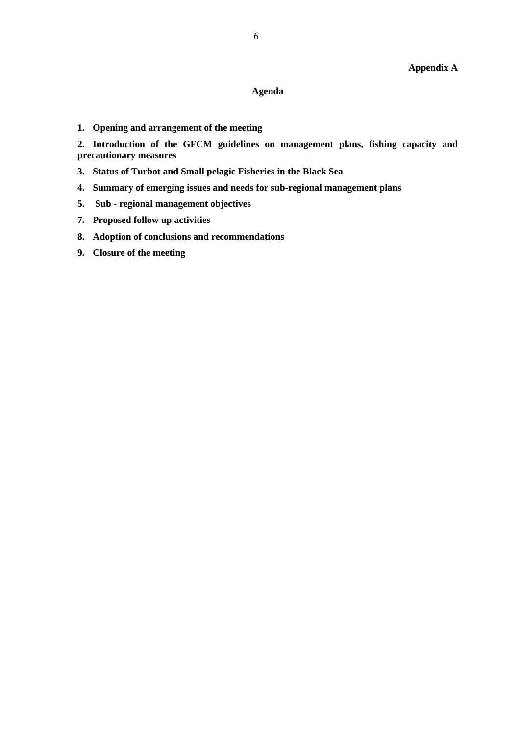## **Agenda**

**1. Opening and arrangement of the meeting** 

**2. Introduction of the GFCM guidelines on management plans, fishing capacity and precautionary measures** 

- **3. Status of Turbot and Small pelagic Fisheries in the Black Sea**
- **4. Summary of emerging issues and needs for sub-regional management plans**
- **5. Sub regional management objectives**
- **7. Proposed follow up activities**
- **8. Adoption of conclusions and recommendations**
- **9. Closure of the meeting**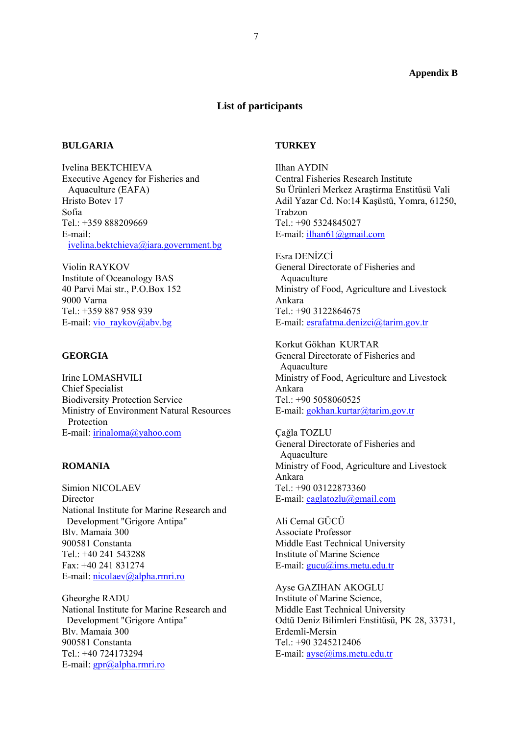#### **Appendix B**

### **List of participants**

#### **BULGARIA**

Ivelina BEKTCHIEVA Executive Agency for Fisheries and Aquaculture (EAFA) Hristo Botev 17 Sofia Tel.: +359 888209669 E-mail: ivelina.bektchieva@iara.government.bg

Violin RAYKOV Institute of Oceanology BAS 40 Parvi Mai str., P.O.Box 152 9000 Varna Tel.: +359 887 958 939 E-mail: vio\_raykov@abv.bg

### **GEORGIA**

Irine LOMASHVILI Chief Specialist Biodiversity Protection Service Ministry of Environment Natural Resources Protection E-mail: irinaloma@yahoo.com

## **ROMANIA**

Simion NICOLAEV **Director** National Institute for Marine Research and Development "Grigore Antipa" Blv. Mamaia 300 900581 Constanta Tel.: +40 241 543288 Fax: +40 241 831274 E-mail: nicolaev@alpha.rmri.ro

Gheorghe RADU National Institute for Marine Research and Development "Grigore Antipa" Blv. Mamaia 300 900581 Constanta Tel.: +40 724173294 E-mail: gpr@alpha.rmri.ro

#### **TURKEY**

Ilhan AYDIN Central Fisheries Research Institute Su Ürünleri Merkez Araştirma Enstitüsü Vali Adil Yazar Cd. No:14 Kaşüstü, Yomra, 61250, Trabzon Tel.: +90 5324845027 E-mail: ilhan61@gmail.com

Esra DENİZCİ General Directorate of Fisheries and Aquaculture Ministry of Food, Agriculture and Livestock Ankara Tel.: +90 3122864675 E-mail: esrafatma.denizci@tarim.gov.tr

Korkut Gökhan KURTAR General Directorate of Fisheries and Aquaculture Ministry of Food, Agriculture and Livestock Ankara Tel.: +90 5058060525 E-mail: gokhan.kurtar@tarim.gov.tr

Çağla TOZLU General Directorate of Fisheries and Aquaculture Ministry of Food, Agriculture and Livestock Ankara Tel $\cdot$  +90 03122873360 E-mail: caglatozlu@gmail.com

Ali Cemal GÜCÜ Associate Professor Middle East Technical University Institute of Marine Science E-mail: gucu@ims.metu.edu.tr

Ayse GAZIHAN AKOGLU Institute of Marine Science, Middle East Technical University Odtü Deniz Bilimleri Enstitüsü, PK 28, 33731, Erdemli-Mersin Tel.: +90 3245212406 E-mail: <u>ayse</u>@ims.metu.edu.tr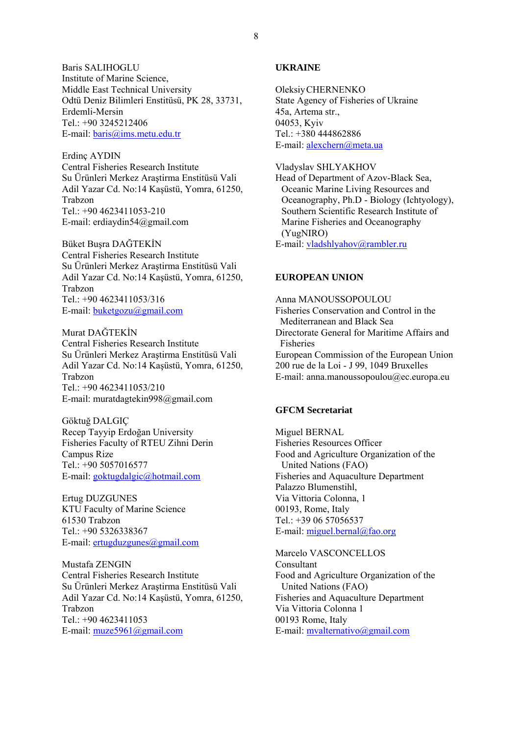Baris SALIHOGLU Institute of Marine Science, Middle East Technical University Odtü Deniz Bilimleri Enstitüsü, PK 28, 33731, Erdemli-Mersin Tel.: +90 3245212406 E-mail: baris@ims.metu.edu.tr

Erdinç AYDIN Central Fisheries Research Institute Su Ürünleri Merkez Araştirma Enstitüsü Vali Adil Yazar Cd. No:14 Kaşüstü, Yomra, 61250, Trabzon Tel $\cdot$  +90 4623411053-210 E-mail: erdiaydin54@gmail.com

Büket Buşra DAĞTEKİN Central Fisheries Research Institute Su Ürünleri Merkez Araştirma Enstitüsü Vali Adil Yazar Cd. No:14 Kaşüstü, Yomra, 61250, Trabzon Tel $\cdot$  +90 4623411053/316 E-mail: buketgozu@gmail.com

Murat DAĞTEKİN Central Fisheries Research Institute Su Ürünleri Merkez Araştirma Enstitüsü Vali Adil Yazar Cd. No:14 Kaşüstü, Yomra, 61250, Trabzon Tel.: +90 4623411053/210 E-mail: muratdagtekin998@gmail.com

Göktuğ DALGIÇ Recep Tayyip Erdoğan University Fisheries Faculty of RTEU Zihni Derin Campus Rize Tel.: +90 5057016577 E-mail: goktugdalgic@hotmail.com

Ertug DUZGUNES KTU Faculty of Marine Science 61530 Trabzon Tel.: +90 5326338367 E-mail: ertugduzgunes@gmail.com

Mustafa ZENGIN Central Fisheries Research Institute Su Ürünleri Merkez Araştirma Enstitüsü Vali Adil Yazar Cd. No:14 Kaşüstü, Yomra, 61250, Trabzon Tel.: +90 4623411053 E-mail: muze5961@gmail.com

## **UKRAINE**

Oleksiy CHERNENKO State Agency of Fisheries of Ukraine 45a, Artema str., 04053, Kyiv Tel.: +380 444862886 E-mail: alexchern@meta.ua

Vladyslav SHLYAKHOV

Head of Department of Azov-Black Sea, Oceanic Marine Living Resources and Oceanography, Ph.D - Biology (Ichtyology), Southern Scientific Research Institute of Marine Fisheries and Oceanography (YugNIRO) E-mail: vladshlyahov@rambler.ru

# **EUROPEAN UNION**

Anna MANOUSSOPOULOU Fisheries Conservation and Control in the Mediterranean and Black Sea Directorate General for Maritime Affairs and Fisheries European Commission of the European Union 200 rue de la Loi - J 99, 1049 Bruxelles E-mail: anna.manoussopoulou@ec.europa.eu

## **GFCM Secretariat**

Miguel BERNAL Fisheries Resources Officer Food and Agriculture Organization of the United Nations (FAO) Fisheries and Aquaculture Department Palazzo Blumenstihl, Via Vittoria Colonna, 1 00193, Rome, Italy Tel.: +39 06 57056537 E-mail:  $miguel.bernal@fao.org$ 

Marcelo VASCONCELLOS Consultant Food and Agriculture Organization of the United Nations (FAO) Fisheries and Aquaculture Department Via Vittoria Colonna 1 00193 Rome, Italy E-mail: mvalternativo@gmail.com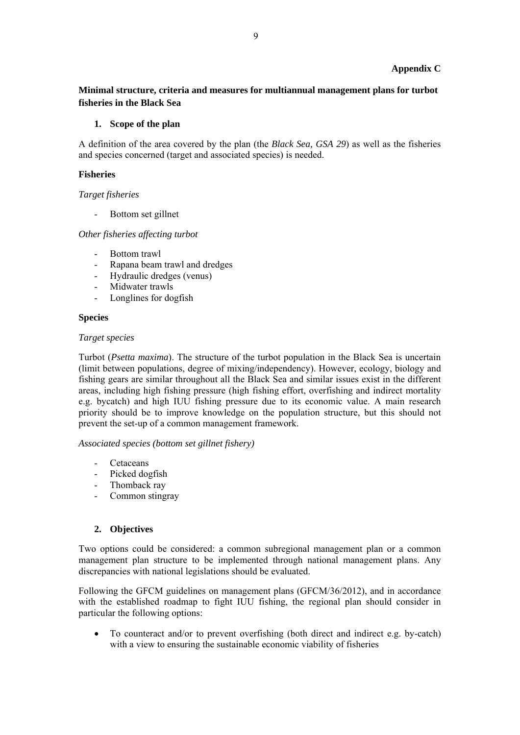### **Appendix C**

**Minimal structure, criteria and measures for multiannual management plans for turbot fisheries in the Black Sea** 

#### **1. Scope of the plan**

A definition of the area covered by the plan (the *Black Sea, GSA 29*) as well as the fisheries and species concerned (target and associated species) is needed.

### **Fisheries**

#### *Target fisheries*

Bottom set gillnet

*Other fisheries affecting turbot* 

- Bottom trawl
- Rapana beam trawl and dredges
- Hydraulic dredges (venus)
- Midwater trawls
- Longlines for dogfish

#### **Species**

#### *Target species*

Turbot (*Psetta maxima*). The structure of the turbot population in the Black Sea is uncertain (limit between populations, degree of mixing/independency). However, ecology, biology and fishing gears are similar throughout all the Black Sea and similar issues exist in the different areas, including high fishing pressure (high fishing effort, overfishing and indirect mortality e.g. bycatch) and high IUU fishing pressure due to its economic value. A main research priority should be to improve knowledge on the population structure, but this should not prevent the set-up of a common management framework.

*Associated species (bottom set gillnet fishery)* 

- Cetaceans
- Picked dogfish
- Thomback ray
- Common stingray

## **2. Objectives**

Two options could be considered: a common subregional management plan or a common management plan structure to be implemented through national management plans. Any discrepancies with national legislations should be evaluated.

Following the GFCM guidelines on management plans (GFCM/36/2012), and in accordance with the established roadmap to fight IUU fishing, the regional plan should consider in particular the following options:

 To counteract and/or to prevent overfishing (both direct and indirect e.g. by-catch) with a view to ensuring the sustainable economic viability of fisheries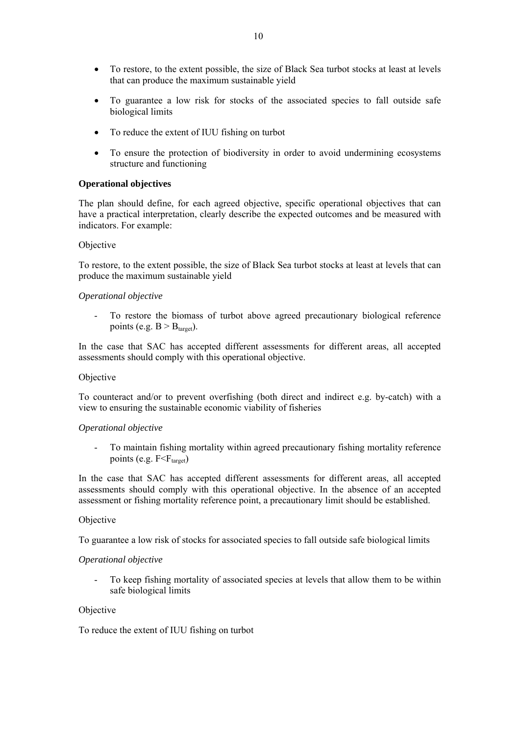- To restore, to the extent possible, the size of Black Sea turbot stocks at least at levels that can produce the maximum sustainable yield
- To guarantee a low risk for stocks of the associated species to fall outside safe biological limits
- To reduce the extent of IUU fishing on turbot
- To ensure the protection of biodiversity in order to avoid undermining ecosystems structure and functioning

#### **Operational objectives**

The plan should define, for each agreed objective, specific operational objectives that can have a practical interpretation, clearly describe the expected outcomes and be measured with indicators. For example:

#### **Objective**

To restore, to the extent possible, the size of Black Sea turbot stocks at least at levels that can produce the maximum sustainable yield

#### *Operational objective*

- To restore the biomass of turbot above agreed precautionary biological reference points (e.g.  $B > B<sub>target</sub>$ ).

In the case that SAC has accepted different assessments for different areas, all accepted assessments should comply with this operational objective.

#### Objective

To counteract and/or to prevent overfishing (both direct and indirect e.g. by-catch) with a view to ensuring the sustainable economic viability of fisheries

#### *Operational objective*

- To maintain fishing mortality within agreed precautionary fishing mortality reference points (e.g.  $F < F_{\text{target}}$ )

In the case that SAC has accepted different assessments for different areas, all accepted assessments should comply with this operational objective. In the absence of an accepted assessment or fishing mortality reference point, a precautionary limit should be established.

#### Objective

To guarantee a low risk of stocks for associated species to fall outside safe biological limits

#### *Operational objective*

To keep fishing mortality of associated species at levels that allow them to be within safe biological limits

#### Objective

To reduce the extent of IUU fishing on turbot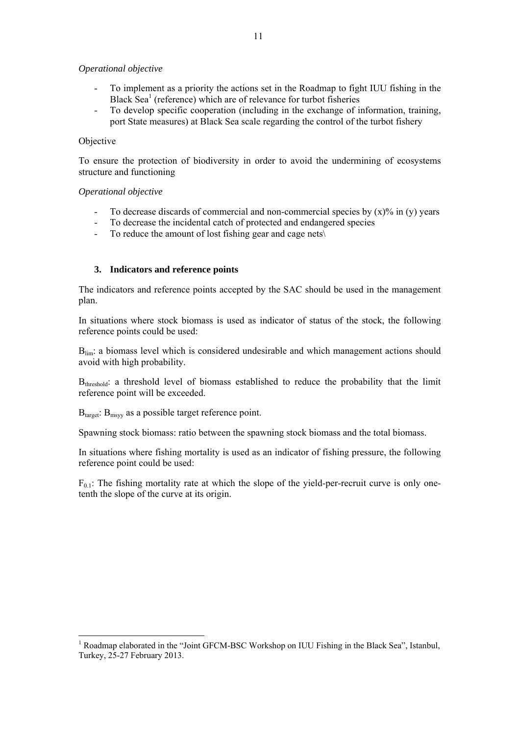#### *Operational objective*

- To implement as a priority the actions set in the Roadmap to fight IUU fishing in the Black Sea<sup>1</sup> (reference) which are of relevance for turbot fisheries
- To develop specific cooperation (including in the exchange of information, training, port State measures) at Black Sea scale regarding the control of the turbot fishery

### Objective

To ensure the protection of biodiversity in order to avoid the undermining of ecosystems structure and functioning

#### *Operational objective*

- To decrease discards of commercial and non-commercial species by  $(x)$ % in (y) years
- To decrease the incidental catch of protected and endangered species
- To reduce the amount of lost fishing gear and cage nets $\langle$

## **3. Indicators and reference points**

The indicators and reference points accepted by the SAC should be used in the management plan.

In situations where stock biomass is used as indicator of status of the stock, the following reference points could be used:

B<sub>lim</sub>: a biomass level which is considered undesirable and which management actions should avoid with high probability.

B<sub>threshold</sub>: a threshold level of biomass established to reduce the probability that the limit reference point will be exceeded.

 $B<sub>target</sub>: B<sub>msvv</sub>$  as a possible target reference point.

Spawning stock biomass: ratio between the spawning stock biomass and the total biomass.

In situations where fishing mortality is used as an indicator of fishing pressure, the following reference point could be used:

 $F_{0,1}$ : The fishing mortality rate at which the slope of the yield-per-recruit curve is only onetenth the slope of the curve at its origin.

<sup>1</sup> Roadmap elaborated in the "Joint GFCM-BSC Workshop on IUU Fishing in the Black Sea", Istanbul, Turkey, 25-27 February 2013.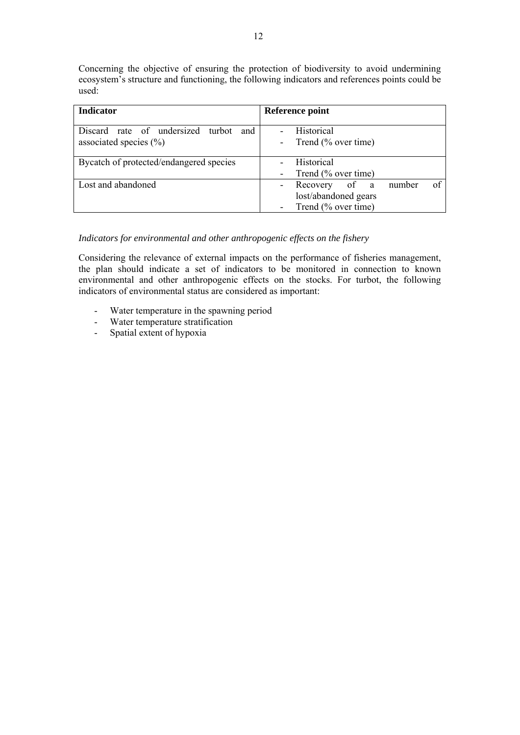Concerning the objective of ensuring the protection of biodiversity to avoid undermining ecosystem's structure and functioning, the following indicators and references points could be used:

| <b>Indicator</b>                                                    | Reference point                                                              |
|---------------------------------------------------------------------|------------------------------------------------------------------------------|
| Discard rate of undersized turbot and<br>associated species $(\% )$ | <b>Historical</b><br>Trend $(\%$ over time)                                  |
| Bycatch of protected/endangered species                             | <b>Historical</b><br>Trend (% over time)                                     |
| Lost and abandoned                                                  | of<br>number<br>Recovery of a<br>lost/abandoned gears<br>Trend (% over time) |

## *Indicators for environmental and other anthropogenic effects on the fishery*

Considering the relevance of external impacts on the performance of fisheries management, the plan should indicate a set of indicators to be monitored in connection to known environmental and other anthropogenic effects on the stocks. For turbot, the following indicators of environmental status are considered as important:

- Water temperature in the spawning period
- Water temperature stratification
- Spatial extent of hypoxia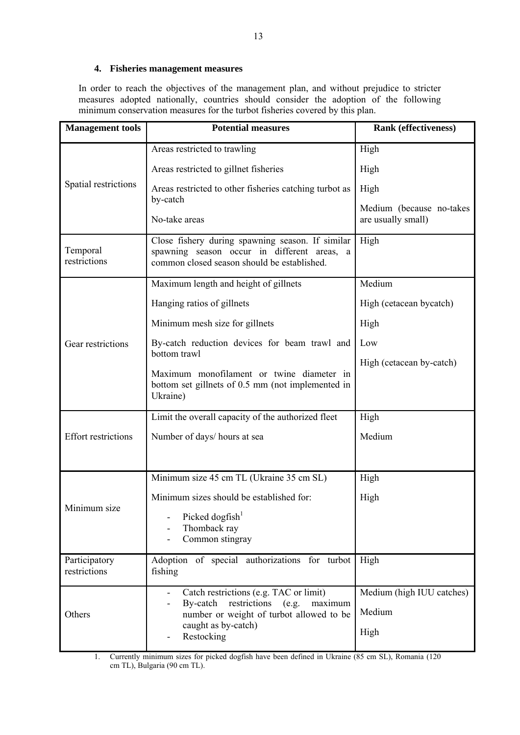## **4. Fisheries management measures**

In order to reach the objectives of the management plan, and without prejudice to stricter measures adopted nationally, countries should consider the adoption of the following minimum conservation measures for the turbot fisheries covered by this plan.

| <b>Management</b> tools       | <b>Potential measures</b>                                                                                                                      | <b>Rank (effectiveness)</b>                    |
|-------------------------------|------------------------------------------------------------------------------------------------------------------------------------------------|------------------------------------------------|
| Spatial restrictions          | Areas restricted to trawling                                                                                                                   | High                                           |
|                               | Areas restricted to gillnet fisheries                                                                                                          | High                                           |
|                               | Areas restricted to other fisheries catching turbot as                                                                                         | High                                           |
|                               | by-catch<br>No-take areas                                                                                                                      | Medium (because no-takes<br>are usually small) |
| Temporal<br>restrictions      | Close fishery during spawning season. If similar<br>spawning season occur in different areas, a<br>common closed season should be established. | High                                           |
| Gear restrictions             | Maximum length and height of gillnets                                                                                                          | Medium                                         |
|                               | Hanging ratios of gillnets                                                                                                                     | High (cetacean bycatch)                        |
|                               | Minimum mesh size for gillnets                                                                                                                 | High                                           |
|                               | By-catch reduction devices for beam trawl and                                                                                                  | Low<br>High (cetacean by-catch)                |
|                               | bottom trawl<br>Maximum monofilament or twine diameter in<br>bottom set gillnets of 0.5 mm (not implemented in<br>Ukraine)                     |                                                |
|                               | Limit the overall capacity of the authorized fleet                                                                                             | High                                           |
| <b>Effort restrictions</b>    | Number of days/ hours at sea                                                                                                                   | Medium                                         |
| Minimum size                  | Minimum size 45 cm TL (Ukraine 35 cm SL)                                                                                                       | High                                           |
|                               | Minimum sizes should be established for:                                                                                                       | High                                           |
|                               | Picked dogfish <sup>1</sup><br>Thomback ray<br>Common stingray                                                                                 |                                                |
| Participatory<br>restrictions | Adoption of special authorizations for turbot<br>fishing                                                                                       | High                                           |
| Others                        | Catch restrictions (e.g. TAC or limit)<br>By-catch<br>restrictions<br>(e.g.<br>maximum                                                         | Medium (high IUU catches)                      |
|                               | number or weight of turbot allowed to be                                                                                                       | Medium                                         |
|                               | caught as by-catch)<br>Restocking                                                                                                              | High                                           |

1. Currently minimum sizes for picked dogfish have been defined in Ukraine (85 cm SL), Romania (120 cm TL), Bulgaria (90 cm TL).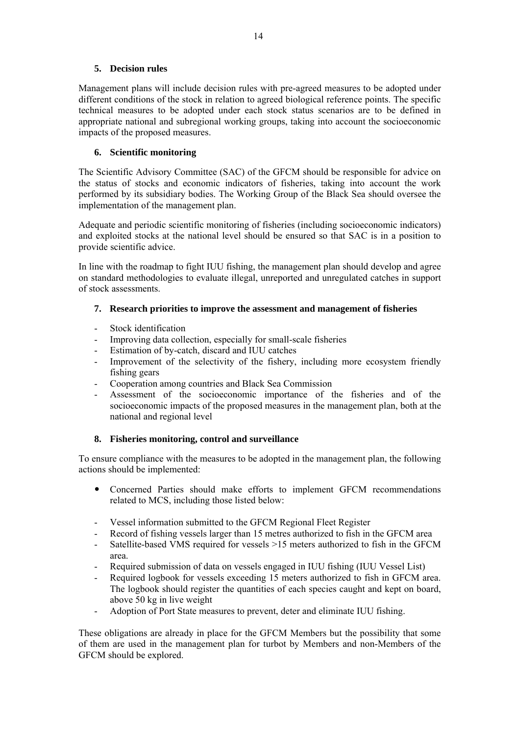# **5. Decision rules**

Management plans will include decision rules with pre-agreed measures to be adopted under different conditions of the stock in relation to agreed biological reference points. The specific technical measures to be adopted under each stock status scenarios are to be defined in appropriate national and subregional working groups, taking into account the socioeconomic impacts of the proposed measures.

# **6. Scientific monitoring**

The Scientific Advisory Committee (SAC) of the GFCM should be responsible for advice on the status of stocks and economic indicators of fisheries, taking into account the work performed by its subsidiary bodies. The Working Group of the Black Sea should oversee the implementation of the management plan.

Adequate and periodic scientific monitoring of fisheries (including socioeconomic indicators) and exploited stocks at the national level should be ensured so that SAC is in a position to provide scientific advice.

In line with the roadmap to fight IUU fishing, the management plan should develop and agree on standard methodologies to evaluate illegal, unreported and unregulated catches in support of stock assessments.

# **7. Research priorities to improve the assessment and management of fisheries**

- Stock identification
- Improving data collection, especially for small-scale fisheries
- Estimation of by-catch, discard and IUU catches
- Improvement of the selectivity of the fishery, including more ecosystem friendly fishing gears
- Cooperation among countries and Black Sea Commission
- Assessment of the socioeconomic importance of the fisheries and of the socioeconomic impacts of the proposed measures in the management plan, both at the national and regional level

# **8. Fisheries monitoring, control and surveillance**

To ensure compliance with the measures to be adopted in the management plan, the following actions should be implemented:

- Concerned Parties should make efforts to implement GFCM recommendations related to MCS, including those listed below:
- Vessel information submitted to the GFCM Regional Fleet Register
- Record of fishing vessels larger than 15 metres authorized to fish in the GFCM area
- Satellite-based VMS required for vessels >15 meters authorized to fish in the GFCM area.
- Required submission of data on vessels engaged in IUU fishing (IUU Vessel List)
- Required logbook for vessels exceeding 15 meters authorized to fish in GFCM area. The logbook should register the quantities of each species caught and kept on board, above 50 kg in live weight
- Adoption of Port State measures to prevent, deter and eliminate IUU fishing.

These obligations are already in place for the GFCM Members but the possibility that some of them are used in the management plan for turbot by Members and non-Members of the GFCM should be explored.